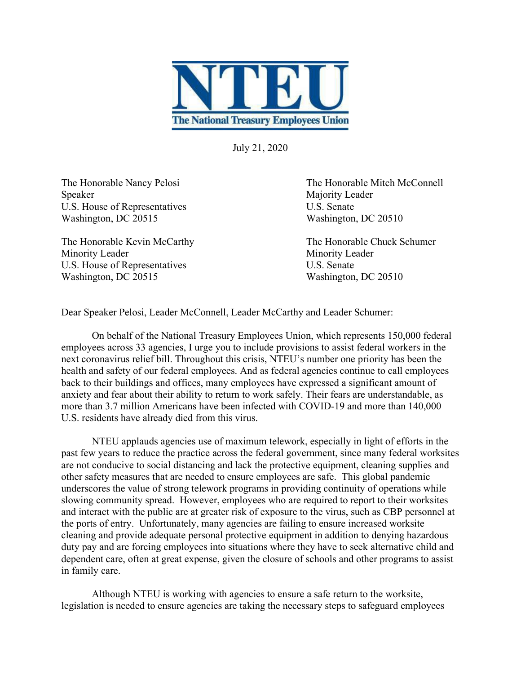

July 21, 2020

Speaker Majority Leader U.S. House of Representatives U.S. Senate Washington, DC 20515 Washington, DC 20510

The Honorable Kevin McCarthy The Honorable Chuck Schumer Minority Leader Minority Leader U.S. House of Representatives U.S. Senate Washington, DC 20515 Washington, DC 20510

The Honorable Nancy Pelosi The Honorable Mitch McConnell

Dear Speaker Pelosi, Leader McConnell, Leader McCarthy and Leader Schumer:

On behalf of the National Treasury Employees Union, which represents 150,000 federal employees across 33 agencies, I urge you to include provisions to assist federal workers in the next coronavirus relief bill. Throughout this crisis, NTEU's number one priority has been the health and safety of our federal employees. And as federal agencies continue to call employees back to their buildings and offices, many employees have expressed a significant amount of anxiety and fear about their ability to return to work safely. Their fears are understandable, as more than 3.7 million Americans have been infected with COVID-19 and more than 140,000 U.S. residents have already died from this virus.

NTEU applauds agencies use of maximum telework, especially in light of efforts in the past few years to reduce the practice across the federal government, since many federal worksites are not conducive to social distancing and lack the protective equipment, cleaning supplies and other safety measures that are needed to ensure employees are safe. This global pandemic underscores the value of strong telework programs in providing continuity of operations while slowing community spread. However, employees who are required to report to their worksites and interact with the public are at greater risk of exposure to the virus, such as CBP personnel at the ports of entry. Unfortunately, many agencies are failing to ensure increased worksite cleaning and provide adequate personal protective equipment in addition to denying hazardous duty pay and are forcing employees into situations where they have to seek alternative child and dependent care, often at great expense, given the closure of schools and other programs to assist in family care.

Although NTEU is working with agencies to ensure a safe return to the worksite, legislation is needed to ensure agencies are taking the necessary steps to safeguard employees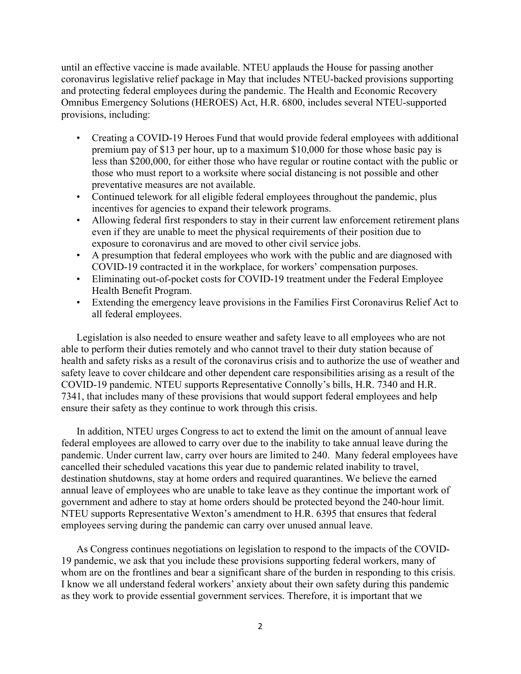until an effective vaccine is made available. NTEU applauds the House for passing another coronavirus legislative relief package in May that includes NTEU-backed provisions supporting and protecting federal employees during the pandemic. The Health and Economic Recovery Omnibus Emergency Solutions (HEROES) Act, H.R. 6800, includes several NTEU-supported provisions, including:

- Creating a COVID-19 Heroes Fund that would provide federal employees with additional premium pay of \$13 per hour, up to a maximum \$10,000 for those whose basic pay is less than \$200,000, for either those who have regular or routine contact with the public or those who must report to a worksite where social distancing is not possible and other preventative measures are not available.
- Continued telework for all eligible federal employees throughout the pandemic, plus incentives for agencies to expand their telework programs.
- Allowing federal first responders to stay in their current law enforcement retirement plans even if they are unable to meet the physical requirements of their position due to exposure to coronavirus and are moved to other civil service jobs.
- A presumption that federal employees who work with the public and are diagnosed with COVID-19 contracted it in the workplace, for workers' compensation purposes.
- Eliminating out-of-pocket costs for COVID-19 treatment under the Federal Employee Health Benefit Program.
- Extending the emergency leave provisions in the Families First Coronavirus Relief Act to all federal employees.

Legislation is also needed to ensure weather and safety leave to all employees who are not able to perform their duties remotely and who cannot travel to their duty station because of health and safety risks as a result of the coronavirus crisis and to authorize the use of weather and safety leave to cover childcare and other dependent care responsibilities arising as a result of the COVID-19 pandemic. NTEU supports Representative Connolly's bills, H.R. 7340 and H.R. 7341, that includes many of these provisions that would support federal employees and help ensure their safety as they continue to work through this crisis.

In addition, NTEU urges Congress to act to extend the limit on the amount of annual leave federal employees are allowed to carry over due to the inability to take annual leave during the pandemic. Under current law, carry over hours are limited to 240. Many federal employees have cancelled their scheduled vacations this year due to pandemic related inability to travel, destination shutdowns, stay at home orders and required quarantines. We believe the earned annual leave of employees who are unable to take leave as they continue the important work of government and adhere to stay at home orders should be protected beyond the 240-hour limit. NTEU supports Representative Wexton's amendment to H.R. 6395 that ensures that federal employees serving during the pandemic can carry over unused annual leave.

As Congress continues negotiations on legislation to respond to the impacts of the COVID-19 pandemic, we ask that you include these provisions supporting federal workers, many of whom are on the frontlines and bear a significant share of the burden in responding to this crisis. I know we all understand federal workers' anxiety about their own safety during this pandemic as they work to provide essential government services. Therefore, it is important that we